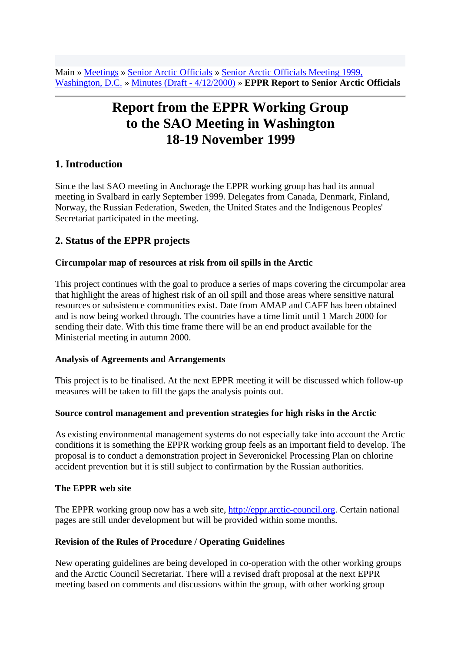Main » Meetings » Senior Arctic Officials » Senior Arctic Officials Meeting 1999, Washington, D.C. » Minutes (Draft - 4/12/2000) » **EPPR Report to Senior Arctic Officials**

# **Report from the EPPR Working Group to the SAO Meeting in Washington 18-19 November 1999**

## **1. Introduction**

Since the last SAO meeting in Anchorage the EPPR working group has had its annual meeting in Svalbard in early September 1999. Delegates from Canada, Denmark, Finland, Norway, the Russian Federation, Sweden, the United States and the Indigenous Peoples' Secretariat participated in the meeting.

## **2. Status of the EPPR projects**

#### **Circumpolar map of resources at risk from oil spills in the Arctic**

This project continues with the goal to produce a series of maps covering the circumpolar area that highlight the areas of highest risk of an oil spill and those areas where sensitive natural resources or subsistence communities exist. Date from AMAP and CAFF has been obtained and is now being worked through. The countries have a time limit until 1 March 2000 for sending their date. With this time frame there will be an end product available for the Ministerial meeting in autumn 2000.

#### **Analysis of Agreements and Arrangements**

This project is to be finalised. At the next EPPR meeting it will be discussed which follow-up measures will be taken to fill the gaps the analysis points out.

#### **Source control management and prevention strategies for high risks in the Arctic**

As existing environmental management systems do not especially take into account the Arctic conditions it is something the EPPR working group feels as an important field to develop. The proposal is to conduct a demonstration project in Severonickel Processing Plan on chlorine accident prevention but it is still subject to confirmation by the Russian authorities.

#### **The EPPR web site**

The EPPR working group now has a web site, [http://eppr.arctic-council.org.](http://eppr.arctic-council.org/) Certain national pages are still under development but will be provided within some months.

#### **Revision of the Rules of Procedure / Operating Guidelines**

New operating guidelines are being developed in co-operation with the other working groups and the Arctic Council Secretariat. There will a revised draft proposal at the next EPPR meeting based on comments and discussions within the group, with other working group